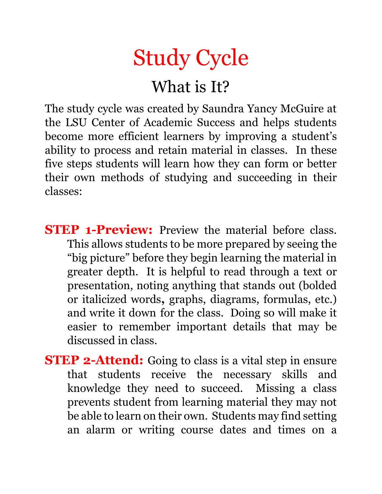

## What is It?

The study cycle was created by Saundra Yancy McGuire at the LSU Center of Academic Success and helps students become more efficient learners by improving a student's ability to process and retain material in classes. In these five steps students will learn how they can form or better their own methods of studying and succeeding in their classes:

- **STEP 1-Preview:** Preview the material before class. This allows students to be more prepared by seeing the "big picture" before they begin learning the material in greater depth. It is helpful to read through a text or presentation, noting anything that stands out (bolded or italicized words**,** graphs, diagrams, formulas, etc.) and write it down for the class. Doing so will make it easier to remember important details that may be discussed in class.
- **STEP 2-Attend:** Going to class is a vital step in ensure that students receive the necessary skills and knowledge they need to succeed. Missing a class prevents student from learning material they may not be able to learn on their own. Students may find setting an alarm or writing course dates and times on a